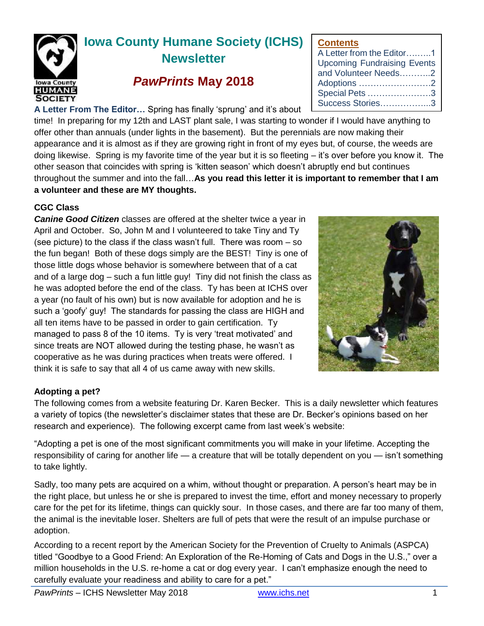

# **Iowa County Humane Society (ICHS) Newsletter**

## *PawPrints* **May 2018**

**A Letter From The Editor…** Spring has finally 'sprung' and it's about

time! In preparing for my 12th and LAST plant sale, I was starting to wonder if I would have anything to offer other than annuals (under lights in the basement). But the perennials are now making their appearance and it is almost as if they are growing right in front of my eyes but, of course, the weeds are doing likewise. Spring is my favorite time of the year but it is so fleeting – it's over before you know it. The other season that coincides with spring is 'kitten season' which doesn't abruptly end but continues throughout the summer and into the fall…**As you read this letter it is important to remember that I am a volunteer and these are MY thoughts.** 

### **CGC Class**

*Canine Good Citizen* classes are offered at the shelter twice a year in April and October. So, John M and I volunteered to take Tiny and Ty (see picture) to the class if the class wasn't full. There was room – so the fun began! Both of these dogs simply are the BEST! Tiny is one of those little dogs whose behavior is somewhere between that of a cat and of a large dog – such a fun little guy! Tiny did not finish the class as he was adopted before the end of the class. Ty has been at ICHS over a year (no fault of his own) but is now available for adoption and he is such a 'goofy' guy! The standards for passing the class are HIGH and all ten items have to be passed in order to gain certification. Ty managed to pass 8 of the 10 items. Ty is very 'treat motivated' and since treats are NOT allowed during the testing phase, he wasn't as cooperative as he was during practices when treats were offered. I think it is safe to say that all 4 of us came away with new skills.

**Contents**

A Letter from the Editor….…..1 Upcoming Fundraising Events and Volunteer Needs………..2 Adoptions …………………….2 Special Pets ………………….3 Success Stories……………...3

### **Adopting a pet?**

The following comes from a website featuring Dr. Karen Becker. This is a daily newsletter which features a variety of topics (the newsletter's disclaimer states that these are Dr. Becker's opinions based on her research and experience). The following excerpt came from last week's website:

"Adopting a pet is one of the most significant commitments you will make in your lifetime. Accepting the responsibility of caring for another life — a creature that will be totally dependent on you — isn't something to take lightly.

Sadly, too many pets are acquired on a whim, without thought or preparation. A person's heart may be in the right place, but unless he or she is prepared to invest the time, effort and money necessary to properly care for the pet for its lifetime, things can quickly sour. In those cases, and there are far too many of them, the animal is the inevitable loser. Shelters are full of pets that were the result of an impulse purchase or adoption.

According to a recent report by the American Society for the Prevention of Cruelty to Animals (ASPCA) titled "Goodbye to a Good Friend: An Exploration of the Re-Homing of Cats and Dogs in the U.S.," over a million households in the U.S. re-home a cat or dog every year. I can't emphasize enough the need to carefully evaluate your readiness and ability to care for a pet."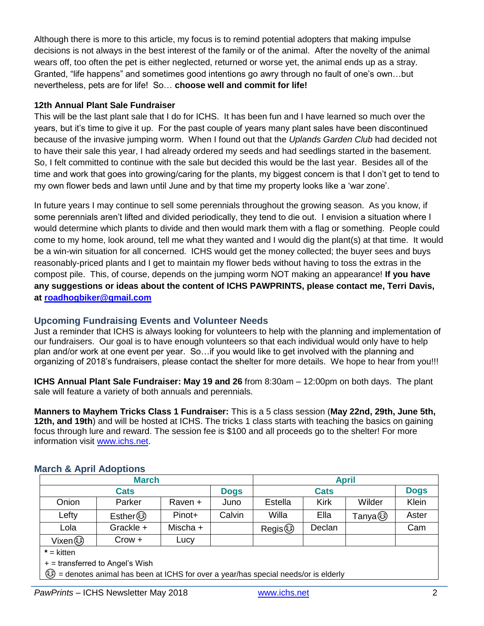Although there is more to this article, my focus is to remind potential adopters that making impulse decisions is not always in the best interest of the family or of the animal. After the novelty of the animal wears off, too often the pet is either neglected, returned or worse yet, the animal ends up as a stray. Granted, "life happens" and sometimes good intentions go awry through no fault of one's own…but nevertheless, pets are for life! So… **choose well and commit for life!**

#### **12th Annual Plant Sale Fundraiser**

This will be the last plant sale that I do for ICHS. It has been fun and I have learned so much over the years, but it's time to give it up. For the past couple of years many plant sales have been discontinued because of the invasive jumping worm. When I found out that the *Uplands Garden Club* had decided not to have their sale this year, I had already ordered my seeds and had seedlings started in the basement. So, I felt committed to continue with the sale but decided this would be the last year. Besides all of the time and work that goes into growing/caring for the plants, my biggest concern is that I don't get to tend to my own flower beds and lawn until June and by that time my property looks like a 'war zone'.

In future years I may continue to sell some perennials throughout the growing season. As you know, if some perennials aren't lifted and divided periodically, they tend to die out. I envision a situation where I would determine which plants to divide and then would mark them with a flag or something. People could come to my home, look around, tell me what they wanted and I would dig the plant(s) at that time. It would be a win-win situation for all concerned. ICHS would get the money collected; the buyer sees and buys reasonably-priced plants and I get to maintain my flower beds without having to toss the extras in the compost pile. This, of course, depends on the jumping worm NOT making an appearance! **If you have any suggestions or ideas about the content of ICHS PAWPRINTS, please contact me, Terri Davis, at [roadhogbiker@gmail.com](mailto:roadhogbiker@gmail.com)**

### **Upcoming Fundraising Events and Volunteer Needs**

Just a reminder that ICHS is always looking for volunteers to help with the planning and implementation of our fundraisers. Our goal is to have enough volunteers so that each individual would only have to help plan and/or work at one event per year. So…if you would like to get involved with the planning and organizing of 2018's fundraisers, please contact the shelter for more details. We hope to hear from you!!!

**ICHS Annual Plant Sale Fundraiser: May 19 and 26** from 8:30am – 12:00pm on both days. The plant sale will feature a variety of both annuals and perennials.

**Manners to Mayhem Tricks Class 1 Fundraiser:** This is a 5 class session (**May 22nd, 29th, June 5th, 12th, and 19th**) and will be hosted at ICHS. The tricks 1 class starts with teaching the basics on gaining focus through lure and reward. The session fee is \$100 and all proceeds go to the shelter! For more information visit [www.ichs.net.](http://www.ichs.net/)

### **March & April Adoptions**

| <b>March</b> |           |          |             | <b>April</b> |             |          |             |
|--------------|-----------|----------|-------------|--------------|-------------|----------|-------------|
| <b>Cats</b>  |           |          | <b>Dogs</b> | <b>Cats</b>  |             |          | <b>Dogs</b> |
| Onion        | Parker    | Raven +  | Juno        | Estella      | <b>Kirk</b> | Wilder   | Klein       |
| Lefty        | Esther 3  | Pinot+   | Calvin      | Willa        | Ella        | Tanya හි | Aster       |
| Lola         | Grackle + | Mischa + |             | Regis 3      | Declan      |          | Cam         |
|              | Crow +    | Lucy     |             |              |             |          |             |
| $* -$ kitten |           |          |             |              |             |          |             |

**\*** = kitten

+ = transferred to Angel's Wish

☺ = denotes animal has been at ICHS for over a year/has special needs/or is elderly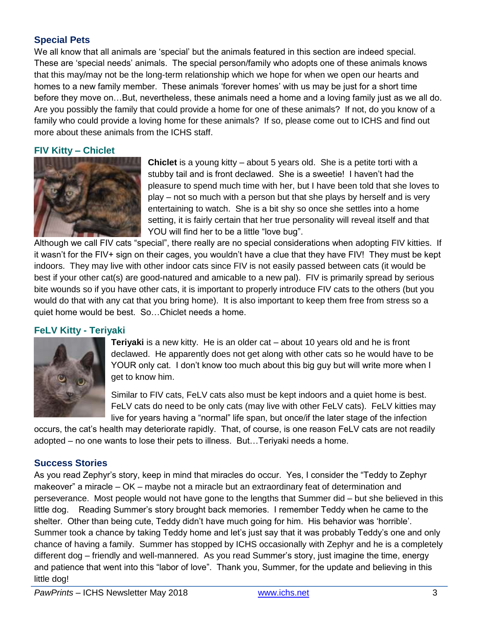#### **Special Pets**

We all know that all animals are 'special' but the animals featured in this section are indeed special. These are 'special needs' animals. The special person/family who adopts one of these animals knows that this may/may not be the long-term relationship which we hope for when we open our hearts and homes to a new family member. These animals 'forever homes' with us may be just for a short time before they move on…But, nevertheless, these animals need a home and a loving family just as we all do. Are you possibly the family that could provide a home for one of these animals? If not, do you know of a family who could provide a loving home for these animals? If so, please come out to ICHS and find out more about these animals from the ICHS staff.

#### **FIV Kitty – Chiclet**



**Chiclet** is a young kitty – about 5 years old. She is a petite torti with a stubby tail and is front declawed. She is a sweetie! I haven't had the pleasure to spend much time with her, but I have been told that she loves to play – not so much with a person but that she plays by herself and is very entertaining to watch. She is a bit shy so once she settles into a home setting, it is fairly certain that her true personality will reveal itself and that YOU will find her to be a little "love bug".

Although we call FIV cats "special", there really are no special considerations when adopting FIV kitties. If it wasn't for the FIV+ sign on their cages, you wouldn't have a clue that they have FIV! They must be kept indoors. They may live with other indoor cats since FIV is not easily passed between cats (it would be best if your other cat(s) are good-natured and amicable to a new pal). FIV is primarily spread by serious bite wounds so if you have other cats, it is important to properly introduce FIV cats to the others (but you would do that with any cat that you bring home). It is also important to keep them free from stress so a quiet home would be best. So…Chiclet needs a home.

#### **FeLV Kitty - Teriyaki**



**Teriyaki** is a new kitty. He is an older cat – about 10 years old and he is front declawed. He apparently does not get along with other cats so he would have to be YOUR only cat. I don't know too much about this big guy but will write more when I get to know him.

Similar to FIV cats, FeLV cats also must be kept indoors and a quiet home is best. FeLV cats do need to be only cats (may live with other FeLV cats). FeLV kitties may live for years having a "normal" life span, but once/if the later stage of the infection

occurs, the cat's health may deteriorate rapidly. That, of course, is one reason FeLV cats are not readily adopted – no one wants to lose their pets to illness. But…Teriyaki needs a home.

#### **Success Stories**

As you read Zephyr's story, keep in mind that miracles do occur. Yes, I consider the "Teddy to Zephyr makeover" a miracle – OK – maybe not a miracle but an extraordinary feat of determination and perseverance. Most people would not have gone to the lengths that Summer did – but she believed in this little dog. Reading Summer's story brought back memories. I remember Teddy when he came to the shelter. Other than being cute, Teddy didn't have much going for him. His behavior was 'horrible'. Summer took a chance by taking Teddy home and let's just say that it was probably Teddy's one and only chance of having a family. Summer has stopped by ICHS occasionally with Zephyr and he is a completely different dog – friendly and well-mannered. As you read Summer's story, just imagine the time, energy and patience that went into this "labor of love". Thank you, Summer, for the update and believing in this little dog!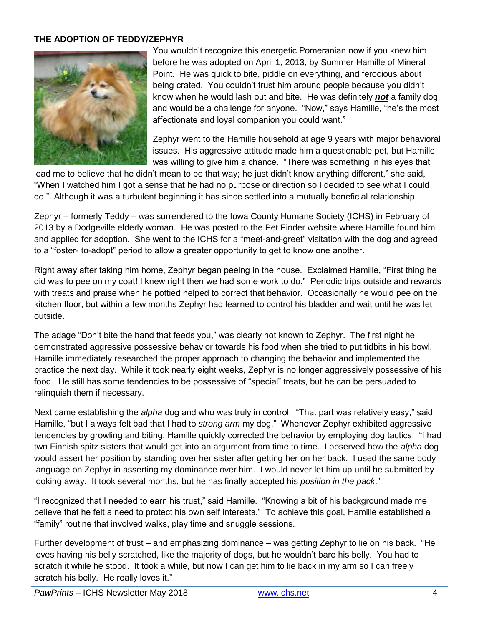#### **THE ADOPTION OF TEDDY/ZEPHYR**



You wouldn't recognize this energetic Pomeranian now if you knew him before he was adopted on April 1, 2013, by Summer Hamille of Mineral Point. He was quick to bite, piddle on everything, and ferocious about being crated. You couldn't trust him around people because you didn't know when he would lash out and bite. He was definitely *not* a family dog and would be a challenge for anyone. "Now," says Hamille, "he's the most affectionate and loyal companion you could want."

Zephyr went to the Hamille household at age 9 years with major behavioral issues. His aggressive attitude made him a questionable pet, but Hamille was willing to give him a chance. "There was something in his eyes that

lead me to believe that he didn't mean to be that way; he just didn't know anything different," she said, "When I watched him I got a sense that he had no purpose or direction so I decided to see what I could do." Although it was a turbulent beginning it has since settled into a mutually beneficial relationship.

Zephyr – formerly Teddy – was surrendered to the Iowa County Humane Society (ICHS) in February of 2013 by a Dodgeville elderly woman. He was posted to the Pet Finder website where Hamille found him and applied for adoption. She went to the ICHS for a "meet-and-greet" visitation with the dog and agreed to a "foster- to-adopt" period to allow a greater opportunity to get to know one another.

Right away after taking him home, Zephyr began peeing in the house. Exclaimed Hamille, "First thing he did was to pee on my coat! I knew right then we had some work to do." Periodic trips outside and rewards with treats and praise when he pottied helped to correct that behavior. Occasionally he would pee on the kitchen floor, but within a few months Zephyr had learned to control his bladder and wait until he was let outside.

The adage "Don't bite the hand that feeds you," was clearly not known to Zephyr. The first night he demonstrated aggressive possessive behavior towards his food when she tried to put tidbits in his bowl. Hamille immediately researched the proper approach to changing the behavior and implemented the practice the next day. While it took nearly eight weeks, Zephyr is no longer aggressively possessive of his food. He still has some tendencies to be possessive of "special" treats, but he can be persuaded to relinquish them if necessary.

Next came establishing the *alpha* dog and who was truly in control. "That part was relatively easy," said Hamille, "but I always felt bad that I had to *strong arm* my dog." Whenever Zephyr exhibited aggressive tendencies by growling and biting, Hamille quickly corrected the behavior by employing dog tactics. "I had two Finnish spitz sisters that would get into an argument from time to time. I observed how the *alpha* dog would assert her position by standing over her sister after getting her on her back. I used the same body language on Zephyr in asserting my dominance over him. I would never let him up until he submitted by looking away. It took several months, but he has finally accepted his *position in the pack*."

"I recognized that I needed to earn his trust," said Hamille. "Knowing a bit of his background made me believe that he felt a need to protect his own self interests." To achieve this goal, Hamille established a "family" routine that involved walks, play time and snuggle sessions.

Further development of trust – and emphasizing dominance – was getting Zephyr to lie on his back. "He loves having his belly scratched, like the majority of dogs, but he wouldn't bare his belly. You had to scratch it while he stood. It took a while, but now I can get him to lie back in my arm so I can freely scratch his belly. He really loves it."